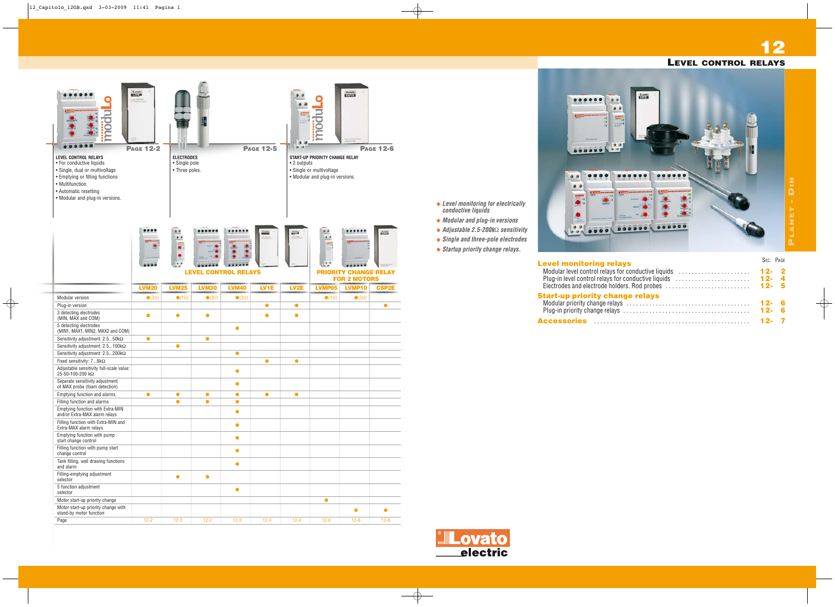**12**

**Level monitoring for electrically**

**conductive liquids**

**Modular and plug-in versions Adjustable 2.5-200k**Ω **sensitivity Single and three-pole electrodes Startup priority change relays.**

## **LEVEL CONTROL RELAYS**

| evel monitoring relays                                                                                      | SEC. PAGE |
|-------------------------------------------------------------------------------------------------------------|-----------|
| Modular level control relays for conductive liquids $\ldots \ldots \ldots \ldots \ldots \ldots$ <b>12-2</b> |           |
| Plug-in level control relays for conductive liquids entitled contained and <b>12-4</b>                      |           |
| Electrodes and electrode holders. Rod probes $\ldots \ldots \ldots \ldots \ldots \ldots \ldots$             |           |
| tart-up priority change relays                                                                              |           |
|                                                                                                             |           |
|                                                                                                             |           |
|                                                                                                             |           |

**Level monitoring relays**

| <b>LEVEL CONTROL RELAYS</b>                                                                                                                                                  | Loyato <sub>n</sub><br>LIS DISS<br><b>PAGE 12-2</b> | <b>ELECTRODES</b>               |                |                             | <b>PAGE 12-5</b>  |                   | <b>START-UP PRIORITY CHANGE RELAY</b>                       | Loute               | <b>PAGE 12-6</b>                     |
|------------------------------------------------------------------------------------------------------------------------------------------------------------------------------|-----------------------------------------------------|---------------------------------|----------------|-----------------------------|-------------------|-------------------|-------------------------------------------------------------|---------------------|--------------------------------------|
| • For conductive liquids<br>· Single, dual or multivoltage<br>• Emptying or filling functions<br>• Multifunction<br>• Automatic resetting<br>• Modular and plug-in versions. |                                                     | • Single pole<br>• Three poles. |                |                             |                   | • 2 outputs       | • Single or multivoltage<br>• Modular and plug-in versions. |                     |                                      |
|                                                                                                                                                                              |                                                     | 22                              |                | <b>LEVEL CONTROL RELAYS</b> |                   | <b>ATLES</b>      | 7.7<br><b>PRIORITY</b>                                      | <b>FOR 2 MOTORS</b> | <b>Access</b><br><b>CHANGE RELAY</b> |
|                                                                                                                                                                              | <b>LVM20</b>                                        | <b>LVM25</b>                    | <b>LVM30</b>   | <b>LVM40</b>                | LV <sub>1</sub> E | LV <sub>2</sub> E | LVMP05                                                      | LVMP10              | <b>CSP2E</b>                         |
| Modular version                                                                                                                                                              | $\bullet$ (2U)                                      | $\bullet$ (1U)                  | $\bullet$ (3U) | $\bullet$ (3U)              |                   |                   | $\bullet$ (1U)                                              | $\bullet$ (3U)      |                                      |
| Plug-in version                                                                                                                                                              |                                                     |                                 |                |                             | $\bullet$         | $\bullet$         |                                                             |                     | $\bullet$                            |
| 3 detecting electrodes<br>(MIN, MAX and COM)                                                                                                                                 | $\bullet$                                           | $\bullet$                       | $\bullet$      |                             | $\bullet$         | $\bullet$         |                                                             |                     |                                      |
| 5 detecting electrodes<br>(MIN1, MAX1, MIN2, MAX2 and COM)                                                                                                                   |                                                     |                                 |                | $\bullet$                   |                   |                   |                                                             |                     |                                      |
| Sensitivity adjustment: 2.550kΩ                                                                                                                                              | $\bullet$                                           |                                 | $\bullet$      |                             |                   |                   |                                                             |                     |                                      |
| Sensitivity adjustment: 2.5100kΩ                                                                                                                                             |                                                     | $\bullet$                       |                |                             |                   |                   |                                                             |                     |                                      |
| Sensitivity adjustment: 2.5200kΩ                                                                                                                                             |                                                     |                                 |                | $\bullet$                   |                   |                   |                                                             |                     |                                      |
| Fixed sensitivity: 78kΩ                                                                                                                                                      |                                                     |                                 |                |                             | $\bullet$         | $\bullet$         |                                                             |                     |                                      |
| Adjustable sensitivity full-scale value:<br>25-50-100-200 kΩ<br>Separate sensitivity adjustment                                                                              |                                                     |                                 |                | 0                           |                   |                   |                                                             |                     |                                      |
| of MAX probe (foam detection)<br>Emptying function and alarms                                                                                                                | $\bullet$                                           | $\bullet$                       | $\bullet$      | $\bullet$<br>$\bullet$      | $\bullet$         | $\bullet$         |                                                             |                     |                                      |
| Filling function and alarms                                                                                                                                                  |                                                     | $\bullet$                       | $\bullet$      | $\bullet$                   |                   |                   |                                                             |                     |                                      |
| Emptying function with Extra-MIN<br>and/or Extra-MAX alarm relays                                                                                                            |                                                     |                                 |                | $\bullet$                   |                   |                   |                                                             |                     |                                      |
| Filling function with Extra-MIN and<br>Extra-MAX alarm relays                                                                                                                |                                                     |                                 |                | $\bullet$                   |                   |                   |                                                             |                     |                                      |
| Emptying function with pump<br>start change control                                                                                                                          |                                                     |                                 |                | $\bullet$                   |                   |                   |                                                             |                     |                                      |
| Filling function with pump start<br>change control                                                                                                                           |                                                     |                                 |                | $\bullet$                   |                   |                   |                                                             |                     |                                      |
| Tank filling, well drawing functions<br>and alarm                                                                                                                            |                                                     |                                 |                | $\bullet$                   |                   |                   |                                                             |                     |                                      |
| Filling-emptying adjustment<br>selector                                                                                                                                      |                                                     | $\bullet$                       | $\bullet$      |                             |                   |                   |                                                             |                     |                                      |
| 5 function adjustment<br>selector                                                                                                                                            |                                                     |                                 |                | $\bullet$                   |                   |                   |                                                             |                     |                                      |
| Motor start-up priority change                                                                                                                                               |                                                     |                                 |                |                             |                   |                   | $\bullet$                                                   |                     |                                      |
| Motor start-up priority change with<br>stand-by motor function                                                                                                               |                                                     |                                 |                |                             |                   |                   |                                                             | $\bullet$           | $\bullet$                            |
| Page                                                                                                                                                                         | $12 - 2$                                            | $12 - 2$                        | $12 - 2$       | $12 - 3$                    | $12 - 4$          | $12 - 4$          | $12 - 6$                                                    | $12 - 6$            | $12 - 6$                             |



**Accessories** . . . . . . . . . . . . . . . . . . . . . . . . . . . . . . . . . . . . . . . . . . . . . . . . **12- 7**

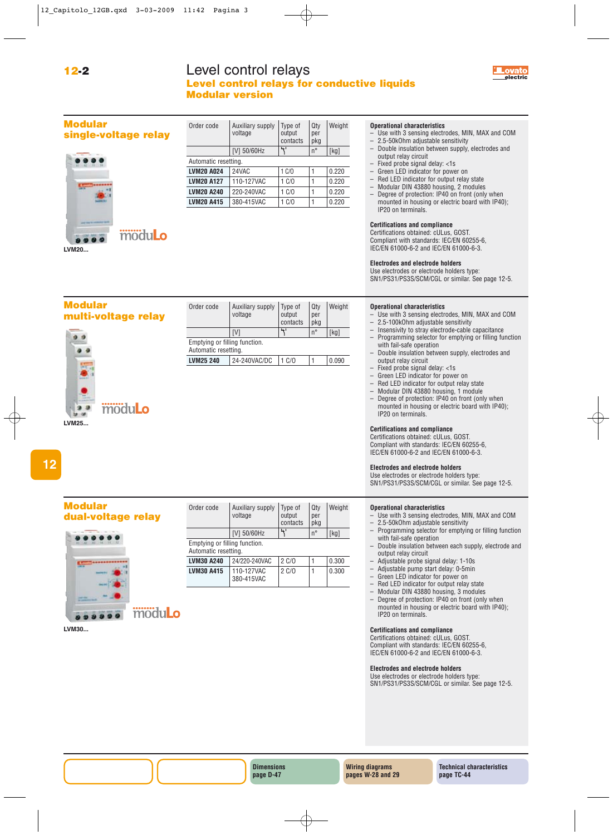## Level control relays **Level control relays for conductive liquids Modular version**



| Modular              |  |
|----------------------|--|
| single-voltage relay |  |



**multi-voltage relay**

modulo

**Modular**

**12-2**

|                      | voltage     | output<br>contacts | per<br>pkg  |       |
|----------------------|-------------|--------------------|-------------|-------|
|                      | [V] 50/60Hz | ا جا               | $n^{\circ}$ | [kg]  |
| Automatic resetting. |             |                    |             |       |
| <b>LVM20 A024</b>    | 24VAC       | 1 C/O              |             | 0.220 |
| <b>LVM20 A127</b>    | 110-127VAC  | 1 C/O              |             | 0.220 |
| <b>LVM20 A240</b>    | 220-240VAC  | C/O                |             | 0.220 |
| <b>LVM20 A415</b>    | 380-415VAC  | C/O                |             | 0.220 |

Order code Auxiliary supply Type of Qty Weight voltage output per

**LVM25 240** 24-240VAC/DC 1 C/O 1 0.090

Emptying or filling function. Automatic resetting.

contacts  $|p$ 

 $[V]$   $|\uparrow$   $|n^{\circ}|$   $[kg]$ 

Order code  $\left|$  Auxiliary supply Type of  $\left|$  Oty Weight

#### **Operational characteristics**

- Use with 3 sensing electrodes, MIN, MAX and COM<br>–  $2.5 50k$ Ohm adjustable sensitivity
- $-$  2.5-50kOhm adjustable sensitivity<br> $-$  Double insulation between sunnly
- Double insulation between supply, electrodes and output relay circuit
- Fixed probe signal delay: <1s
- Green LED indicator for power on<br>– Red LED indicator for output relax
- Red LED indicator for output relay state
- Modular DIN 43880 housing, 2 modules – Degree of protection: IP40 on front (only when mounted in housing or electric board with IP40); IP20 on terminals.

#### **Certifications and compliance**

Certifications obtained: cULus, GOST. Compliant with standards: IEC/EN 60255-6, IEC/EN 61000-6-2 and IEC/EN 61000-6-3.

#### **Electrodes and electrode holders**

Use electrodes or electrode holders type: SN1/PS31/PS3S/SCM/CGL or similar. See page 12-5.

- **Operational characteristics** – Use with 3 sensing electrodes, MIN, MAX and COM
- 2.5-100kOhm adjustable sensitivity
- Insensivity to stray electrode-cable capacitance
- Programming selector for emptying or filling function with fail-safe operation
- Double insulation between supply, electrodes and output relay circuit
- Fixed probe signal delay: <1s
- Green LED indicator for power on
- Red LED indicator for output relay state
- Modular DIN 43880 housing, 1 module
- Degree of protection: IP40 on front (only when mounted in housing or electric board with IP40); IP20 on terminals.

#### **Certifications and compliance**

Certifications obtained: cULus, GOST. Compliant with standards: IEC/EN 60255-6, IEC/EN 61000-6-2 and IEC/EN 61000-6-3.

#### **Electrodes and electrode holders**

Use electrodes or electrode holders type: SN1/PS31/PS3S/SCM/CGL or similar. See page 12-5.

#### **Operational characteristics**

- Use with 3 sensing electrodes, MIN, MAX and COM<br>– 2.5-50kOhm adjustable sensitivity
- 2.5-50kOhm adjustable sensitivity
- Programming selector for emptying or filling function with fail-safe operation
- Double insulation between each supply, electrode and output relay circuit
- Adjustable probe signal delay: 1-10s
- Adjustable pump start delay: 0-5min
- Green LED indicator for power on
- Red LED indicator for output relay state
- Modular DIN 43880 housing, 3 modules
- Degree of protection: IP40 on front (only when mounted in housing or electric board with IP40); IP20 on terminals.

#### **Certifications and compliance**

Certifications obtained: cULus, GOST. Compliant with standards: IEC/EN 60255-6, IEC/EN 61000-6-2 and IEC/EN 61000-6-3.

#### **Electrodes and electrode holders**

Use electrodes or electrode holders type: SN1/PS31/PS3S/SCM/CGL or similar. See page 12-5.

**LVM25...**

 $\overline{\mathbf{3}}$ 

### **Modular dual-voltage relay**



| Order code                                            | Auxiliary supply<br>voltage | Type of<br>output<br>contacts | Qty<br>per<br>pkg | Weight |  |
|-------------------------------------------------------|-----------------------------|-------------------------------|-------------------|--------|--|
|                                                       | [V] 50/60Hz                 | ا جا                          | n°                | [kg]   |  |
| Emptying or filling function.<br>Automatic resetting. |                             |                               |                   |        |  |
| <b>LVM30 A240</b><br>24/220-240VAC                    |                             | 2 C/O                         | 1                 | 0.300  |  |
| <b>LVM30 A415</b>                                     | 110-127VAC                  | 2 C/O                         |                   | 0.300  |  |

380-415VAC

moduLo

**LVM30...**

**Dimensions page D-47**

**Wiring diagrams pages W-28 and 29** **Technical characteristics page TC-44**

**12**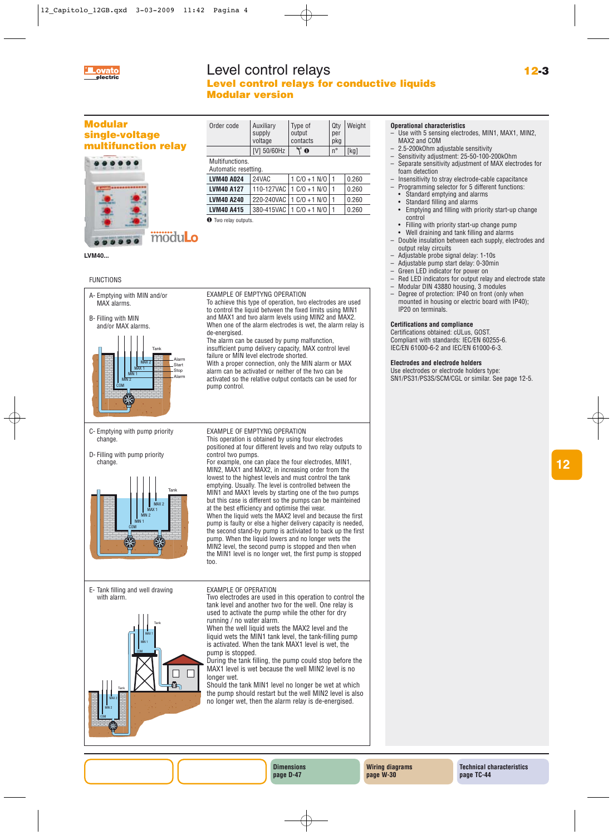

## Level control relays **12-3 electric Level control relays for conductive liquids Modular version**



#### FUNCTIONS



#### **Operational characteristics**

- Use with 5 sensing electrodes, MIN1, MAX1, MIN2, MAX2 and COM
- 2.5-200kOhm adjustable sensitivity<br>– Sensitivity adjustment: 25-50-100-4
- Sensitivity adjustment: 25-50-100-200kOhm
- Separate sensitivity adjustment of MAX electrodes for foam detection
- Insensitivity to stray electrode-cable capacitance
- Programming selector for 5 different functions:
- Standard emptying and alarms Standard filling and alarms
- Emptying and filling with priority start-up change control
- Filling with priority start-up change pump
- Well draining and tank filling and alarms
- Double insulation between each supply, electrodes and output relay circuits
- Adjustable probe signal delay: 1-10s
- Adjustable pump start delay: 0-30min
- Green LED indicator for power on
- Red LED indicators for output relay and electrode state
- Modular DIN 43880 housing, 3 modules
- Degree of protection: IP40 on front (only when mounted in housing or electric board with IP40); IP20 on terminals.

#### **Certifications and compliance**

Certifications obtained: cULus, GOST. Compliant with standards: IEC/EN 60255-6. IEC/EN 61000-6-2 and IEC/EN 61000-6-3.

#### **Electrodes and electrode holders**

Use electrodes or electrode holders type: SN1/PS31/PS3S/SCM/CGL or similar. See page 12-5.

**Dimensions page D-47**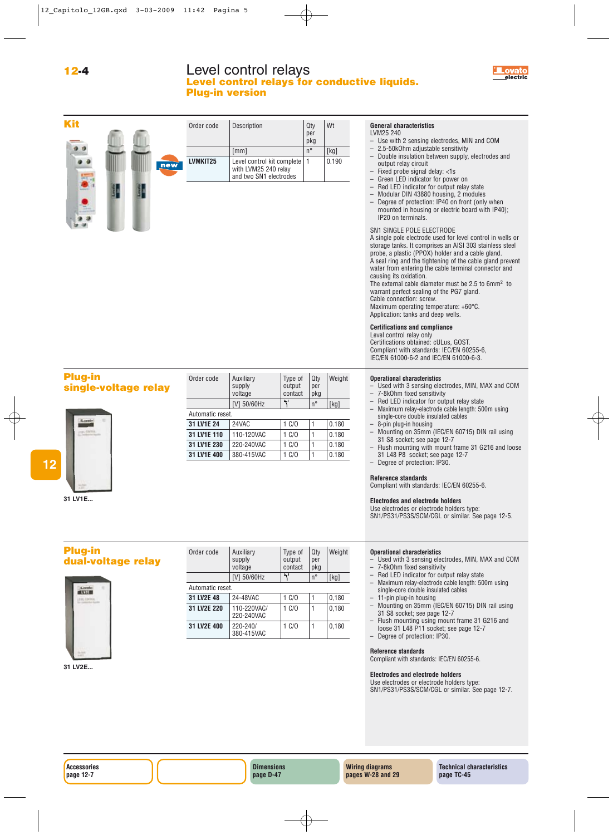### Level control relays **Level control relays for conductive liquids. Plug-in version**





new

| Order code      | Description                                                                  | Qty<br>per<br>pkg | Wt    |
|-----------------|------------------------------------------------------------------------------|-------------------|-------|
|                 | [mm]                                                                         | $n^{\circ}$       | [kg]  |
| <b>LVMKIT25</b> | Level control kit complete<br>with LVM25 240 relay<br>and two SN1 electrodes | $\mathbf{1}$      | 0.190 |

Order code Auxiliary Type of Qty Weight<br>supply output per

**31 LV1E 24** 24VAC 1 C/O 1 0.180 **31 LV1E 110** 110-120VAC 1 C/O 1 0.180 **31 LV1E 230** 220-240VAC 1 C/O 1 0.180 **31 LV1E 400** 380-415VAC 1 C/O 1 0.180

Automatic reset.

voltage contact pkg  $[V]$  50/60Hz  $\left|\begin{array}{cc} \uparrow \end{array}\right|$  n°  $\left|\begin{array}{cc} \hbox{kg} \end{array}\right|$ 

output

#### **General characteristics** LVM25 240

- 
- Use with 2 sensing electrodes, MIN and COM<br>– 2.5-50kOhm adjustable sensitivity
- 2.5-50kOhm adjustable sensitivity – Double insulation between supply, electrodes and
	- output relay circuit
- Fixed probe signal delay: <1s
- Green LED indicator for power on
- Red LED indicator for output relay state
- Modular DIN 43880 housing, 2 modules<br>– Degree of protection: IP40 on front (only
- Degree of protection: IP40 on front (only when mounted in housing or electric board with IP40); IP20 on terminals.

SN1 SINGLE POLE ELECTRODE

A single pole electrode used for level control in wells or storage tanks. It comprises an AISI 303 stainless steel probe, a plastic (PPOX) holder and a cable gland. A seal ring and the tightening of the cable gland prevent water from entering the cable terminal connector and causing its oxidation.

The external cable diameter must be 2.5 to 6mm2 to warrant perfect sealing of the PG7 gland. Cable connection: screw. Maximum operating temperature: +60°C. Application: tanks and deep wells.

**Certifications and compliance**

Level control relay only Certifications obtained: cULus, GOST. Compliant with standards: IEC/EN 60255-6, IEC/EN 61000-6-2 and IEC/EN 61000-6-3.

#### **Operational characteristics**

- Used with 3 sensing electrodes, MIN, MAX and COM<br>-  $7-8k$ Ohm fixed sensitivity
- $-7-8kOhm$  fixed sensitivity<br> $-8ed$  LED indicator for out
- Red LED indicator for output relay state<br>
 Maximum relay-electrode cable length: 50
- Maximum relay-electrode cable length: 500m using single-core double insulated cables
- 8-pin plug-in housing
- Mounting on 35mm (IEC/EN 60715) DIN rail using 31 S8 socket; see page 12-7
- Flush mounting with mount frame 31 G216 and loose 31 L48 P8 socket; see page 12-7
- Degree of protection: IP30.

#### **Reference standards**

Compliant with standards: IEC/EN 60255-6.

#### **Electrodes and electrode holders**

Use electrodes or electrode holders type: SN1/PS31/PS3S/SCM/CGL or similar. See page 12-5.

#### **Operational characteristics**

- Used with 3 sensing electrodes, MIN, MAX and COM
- 7-8kOhm fixed sensitivity
- Red LED indicator for output relay state<br>– Maximum relay-electrode cable length: 50 – Maximum relay-electrode cable length: 500m using
- single-core double insulated cables – 11-pin plug-in housing
- 
- Mounting on 35mm (IEC/EN 60715) DIN rail using 31 S8 socket; see page 12-7
- Flush mounting using mount frame 31 G216 and loose 31 L48 P11 socket; see page 12-7
- Degree of protection: IP30.

#### **Reference standards**

Compliant with standards: IEC/EN 60255-6.

#### **Electrodes and electrode holders**

Use electrodes or electrode holders type: SN1/PS31/PS3S/SCM/CGL or similar. See page 12-7.

### **Plug-in single-voltage relay**



**31 LV1E...**

**12**

**Plug-in** 

**TVIL** 

**dual-voltage relay**

| Order code       | Auxiliary<br>supply<br>voltage | Type of<br>output<br>contact | Qty<br>per<br>pkg | Weight |
|------------------|--------------------------------|------------------------------|-------------------|--------|
|                  | [V] 50/60Hz                    | ا جا                         | $n^{\circ}$       | [kg]   |
| Automatic reset. |                                |                              |                   |        |
| 31 LV2E 48       | 24-48VAC                       | 1 C/O                        |                   | 0,180  |
| 31 LV2E 220      | 110-220VAC/<br>220-240VAC      | 1 C/O                        |                   | 0,180  |
| 31 LV2E 400      | 220-240/<br>380-415VAC         | 1 C/O                        |                   | 0,180  |

**31 LV2E...**

**Wiring diagrams pages W-28 and 29** **Technical characteristics page TC-45**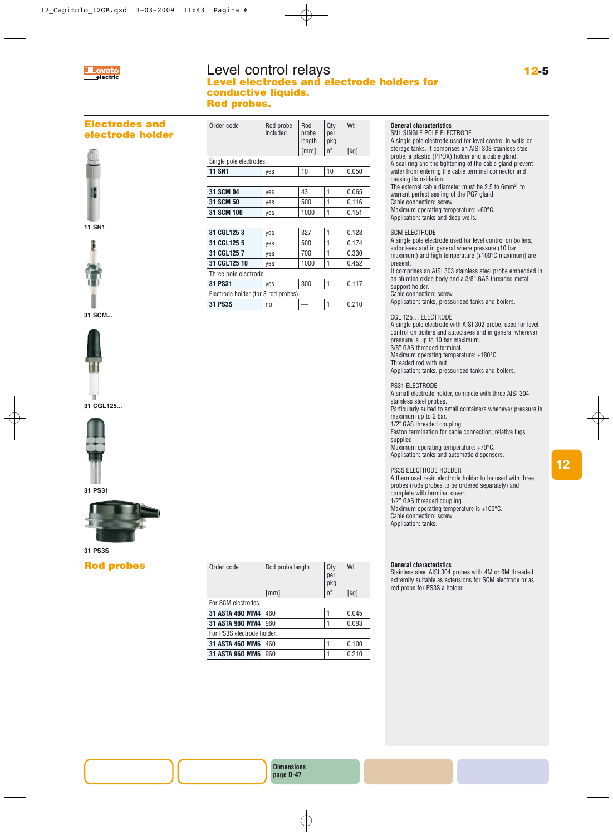

### Level control relays **Level electrodes and electrode holders for conductive liquids. Rod probes.**

 $[mm]$   $n^{\circ}$  [kg]

Order code Rod probe Rod Qty Wt<br>included probe per

**11 SN1** yes 10 10 0.050

**31 SCM 04** yes 43 1 0.065 **31 SCM 50** ves 500 1 0.116 **31 SCM 100** yes 1000 1 0.151

**31 CGL125 3** yes 327 1 0.128 **31 CGL125 5** yes 500 1 0.174 **31 CGL125 7** ves 700 1 0.330 **31 CGL125 10** ves 1000 1 0.452

**31 PS31** yes 300 1 0.117

**31 PS3S** no  $\vert -\vert 1\vert$  0.210

Single pole electrodes.

Three pole electrode.

Electrode holder (for 3 rod probes).

included probe per<br>
length pkg length

### **Electrodes and electrode holder**



**11 SN1**







**31 CGL125...**



**31 PS31**



### **31 PS3S**

### **Rod probes**

| Order code                 | Rod probe length | Qty<br>per<br>pkg | Wt    |  |
|----------------------------|------------------|-------------------|-------|--|
|                            | [mm]             | $n^{\circ}$       | [kg]  |  |
| For SCM electrodes.        |                  |                   |       |  |
| 31 ASTA 460 MM4            | 460              |                   | 0.045 |  |
| <b>31 ASTA 960 MM4</b>     | 960              |                   | 0.093 |  |
| For PS3S electrode holder. |                  |                   |       |  |
| 31 ASTA 460 MM6            | 460              | 1                 | 0.100 |  |
| <b>31 ASTA 960 MM6</b>     | 960              |                   | 0.210 |  |

## **General characteristics**

| General cnaracteristics<br>SN1 SINGLE POLE ELECTRODE<br>A single pole electrode used for level control in wells or<br>storage tanks. It comprises an AISI 303 stainless steel<br>probe, a plastic (PPOX) holder and a cable gland.<br>A seal ring and the tightening of the cable gland prevent<br>water from entering the cable terminal connector and<br>causing its oxidation.<br>The external cable diameter must be 2.5 to 6mm <sup>2</sup> to<br>warrant perfect sealing of the PG7 gland.<br>Cable connection: screw.<br>Maximum operating temperature: +60°C.<br>Application: tanks and deep wells. |
|-------------------------------------------------------------------------------------------------------------------------------------------------------------------------------------------------------------------------------------------------------------------------------------------------------------------------------------------------------------------------------------------------------------------------------------------------------------------------------------------------------------------------------------------------------------------------------------------------------------|
| <b>SCM ELECTRODE</b><br>A single pole electrode used for level control on boilers,<br>autoclaves and in general where pressure (10 bar<br>maximum) and high temperature (+100°C maximum) are<br>present.<br>It comprises an AISI 303 stainless steel probe embedded in<br>an alumina oxide body and a 3/8" GAS threaded metal<br>support holder.<br>Cable connection: screw.<br>Application: tanks, pressurised tanks and boilers.                                                                                                                                                                          |
| CGL 125 ELECTRODE<br>A single pole electrode with AISI 302 probe, used for level<br>control on boilers and autoclaves and in general wherever<br>pressure is up to 10 bar maximum.<br>3/8" GAS threaded terminal.<br>Maximum operating temperature: +180°C.<br>Threaded rod with nut.<br>Application: tanks, pressurised tanks and boilers.                                                                                                                                                                                                                                                                 |
| <b>PS31 ELECTRODE</b><br>A small electrode holder, complete with three AISI 304<br>stainless steel probes.<br>Particularly suited to small containers whenever pressure is<br>maximum up to 2 bar.<br>1/2" GAS threaded coupling<br>Faston termination for cable connection; relative lugs<br>supplied<br>Maximum operating temperature: +70°C.<br>Application: tanks and automatic dispensers.                                                                                                                                                                                                             |
| <b>PS3S ELECTRODE HOLDER</b>                                                                                                                                                                                                                                                                                                                                                                                                                                                                                                                                                                                |

A thermoset resin electrode holder to be used with three probes (rods probes to be ordered separately) and complete with terminal cover. 1/2" GAS threaded coupling. Maximum operating temperature is +100°C. Cable connection: screw. Application: tanks.

### **General characteristics**

Stainless steel AISI 304 probes with 4M or 6M threaded extremity suitable as extensions for SCM electrode or as rod probe for PS3S a holder.

**12**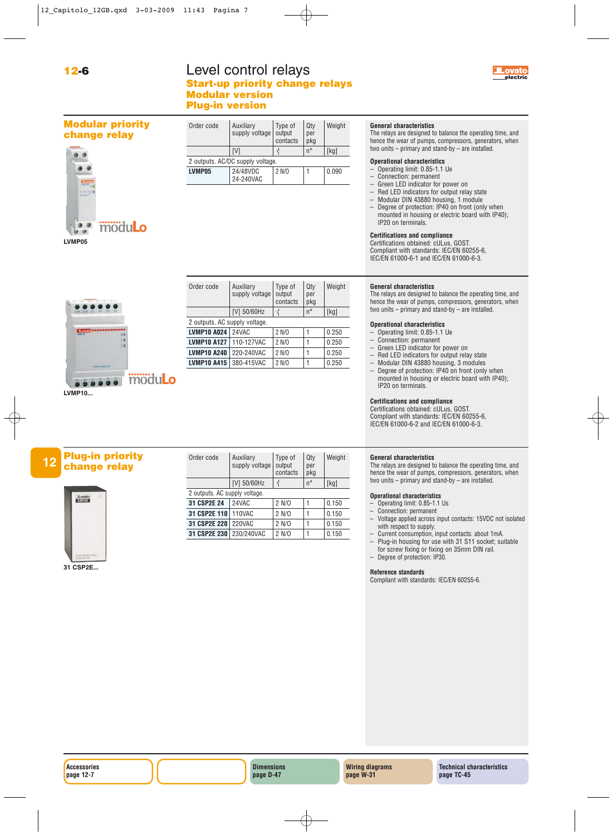### **12-6 electric** Level control relays **electric electric Start-up priority change relays Modular version Plug-in version**





**LVMP05**

| Order code | Auxiliary<br>supply voltage      | Type of<br>output<br>contacts | Qty<br>per<br>pkg | Weight |
|------------|----------------------------------|-------------------------------|-------------------|--------|
|            | [V]                              |                               | $n^{\circ}$       | [kg]   |
|            | 2 outputs. AC/DC supply voltage. |                               |                   |        |
| LVMP05     | 24/48VDC<br>24-240VAC            | 2 N/O                         |                   | 0.090  |

Order code Auxiliary Type of Qty Weight<br>supply voltage output per supply voltage output per contacts  $[V]$  50/60Hz  $\vert \cdot \vert$  n° [kg]

**LVMP10 A024** 24VAC 2 N/O 1 0.250 **LVMP10 A127** 110-127VAC 2 N/O 1 0.250 **LVMP10 A240** 220-240VAC 2 N/O 1 0.250 **LVMP10 A415** 380-415VAC 2 N/O 1 0.250

2 outputs. AC supply voltage.

#### **General characteristics**

The relays are designed to balance the operating time, and hence the wear of pumps, compressors, generators, when two units – primary and stand-by – are installed.

#### **Operational characteristics**

- Operating limit: 0.85-1.1 Ue
- $-$  Connection: permanent<br> $-$  Green LED indicator for
- $-$  Green LED indicator for power on<br> $-$  Red LED indicators for output rela – Red LED indicators for output relay state
- 
- Modular DIN 43880 housing, 1 module<br>– Degree of protection: IP40 on front (onl – Degree of protection: IP40 on front (only when mounted in housing or electric board with IP40); IP20 on terminals.

#### **Certifications and compliance**

Certifications obtained: cULus, GOST. Compliant with standards: IEC/EN 60255-6, IEC/EN 61000-6-1 and IEC/EN 61000-6-3.

#### **General characteristics**

The relays are designed to balance the operating time, and hence the wear of pumps, compressors, generators, when two units – primary and stand-by – are installed.

**Operational characteristics**

- Operating limit: 0.85-1.1 Ue
- Connection: permanent
- Green LED indicator for power on<br>– Red LED indicators for output rela
- Red LED indicators for output relay state
- Modular DIN 43880 housing, 3 modules<br>– Degree of protection: IP40 on front (only
- Degree of protection: IP40 on front (only when mounted in housing or electric board with IP40); IP20 on terminals.

### **Certifications and compliance**

Certifications obtained: cULus, GOST. Compliant with standards: IEC/EN 60255-6, IEC/EN 61000-6-2 and IEC/EN 61000-6-3.

# **Plug-in priority <sup>12</sup> change relay**



**31 CSP2E...**

| Order code                    | Auxiliary<br>supply voltage | Type of<br>output<br>contacts | Qty<br>per<br>pkg | Weight |
|-------------------------------|-----------------------------|-------------------------------|-------------------|--------|
|                               | [V] 50/60Hz                 |                               | $n^{\circ}$       | [kg]   |
| 2 outputs. AC supply voltage. |                             |                               |                   |        |
| 31 CSP2E 24                   | 24VAC                       | 2 N/O                         |                   | 0.150  |
| 31 CSP2E 110                  | 110VAC                      | 2 N/O                         | 1                 | 0.150  |
| 31 CSP2E 220                  | <b>220VAC</b>               | 2 N/O                         | 1                 | 0.150  |
| 31 CSP2E 230                  | 230/240VAC                  | 2 N/O                         |                   | 0.150  |

#### **General characteristics**

The relays are designed to balance the operating time, and hence the wear of pumps, compressors, generators, when two units – primary and stand-by – are installed.

#### **Operational characteristics**

- Operating limit: 0.85-1.1 Us
- Connection: permanent
- Voltage applied across input contacts: 15VDC not isolated with respect to supply.
- Current consumption, input contacts: about 1mA. – Plug-in housing for use with 31 S11 socket; suitable
- for screw fixing or fixing on 35mm DIN rail. – Degree of protection: IP30.

#### **Reference standards**

Compliant with standards: IEC/EN 60255-6.



#### moduLo  $000000$

**LVMP10...**